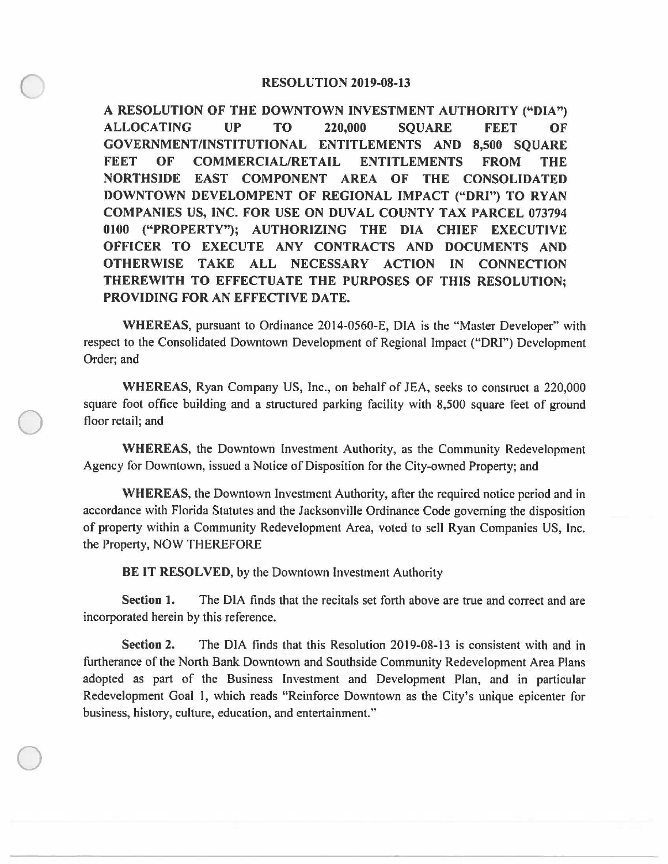## **RESOLUTION 2019-08-13**

**A RESOLUTION OF THE DOWNTOWN INVESTMENT AUTHORITY ("DIA") ALLOCATING UP TO 220,000 SQUARE FEET OF GOVERNMENT/INSTITUTIONAL ENTITLEMENTS AND 8,500 SQUARE FEET OF COMMERCIAL/RETAIL ENTITLEMENTS FROM THE NORTHSIDE EAST COMPONENT AREA OF THE CONSOLIDATED DOWNTOWN DEVELOMPENT OF REGIONAL IMPACT ("DRI") TO RYAN COMPANIES US, INC. FOR USE ON DUVAL COUNTY TAX PARCEL 073794 0100 ("PROPERTY"); AUTHORIZING THE DIA CHIEF EXECUTIVE OFFICER TO EXECUTE ANY CONTRACTS AND DOCUMENTS AND OTHERWISE TAKE ALL NECESSARY ACTION IN CONNECTION THEREWITH TO EFFECTUATE THE PURPOSES OF THIS RESOLUTION; PROVIDING FOR AN EFFECTIVE DATE.** 

**WHEREAS,** pursuant to Ordinance 2014-0560-E, DIA is the "Master Developer" with respect to the Consolidated Downtown Development of Regional Impact ("ORI") Development Order; and

**WHEREAS,** Ryan Company US, Inc., on behalf of JEA, seeks to construct a 220,000 square foot office building and a structured parking facility with 8,500 square feet of ground floor retail; and

**WHEREAS,** the Downtown Investment Authority, as the Community Redevelopment Agency for Downtown, issued a Notice of Disposition for the City-owned Property; and

**WHEREAS,** the Downtown Investment Authority, after the required notice period and in accordance with Florida Statutes and the Jacksonville Ordinance Code governing the disposition of property within a Community Redevelopment Area, voted to sell Ryan Companies US, Inc. the Property, NOW THEREFORE

**BE IT RESOLVED,** by the Downtown Investment Authority

 $\bigcirc$ 

 $\bigcirc$ 

**Section 1.** The DIA finds that the recitals set forth above are true and correct and are incorporated herein by this reference.

**Section 2.** The DIA finds that this Resolution 2019-08-13 is consistent with and in furtherance of the North Bank Downtown and Southside Community Redevelopment Area Plans adopted as part of the Business Investment and Development Plan, and in particular Redevelopment Goal 1, which reads "Reinforce Downtown as the City's unique epicenter for business, history, culture, education, and entertainment."